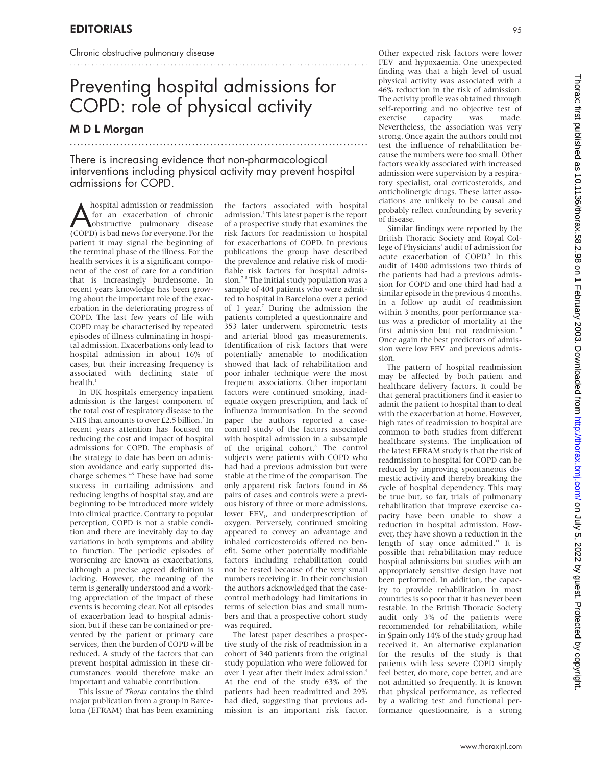Chronic obstructive pulmonary disease

## Preventing hospital admissions for COPD: role of physical activity

...................................................................................

## M D L Morgan

There is increasing evidence that non-pharmacological interventions including physical activity may prevent hospital admissions for COPD.

...................................................................................

A hospital admission or readmission<br>for an exacerbation of chronic<br>obstructive pulmonary disease for an exacerbation of chronic (COPD) is bad news for everyone. For the patient it may signal the beginning of the terminal phase of the illness. For the health services it is a significant component of the cost of care for a condition that is increasingly burdensome. In recent years knowledge has been growing about the important role of the exacerbation in the deteriorating progress of COPD. The last few years of life with COPD may be characterised by repeated episodes of illness culminating in hospital admission. Exacerbations only lead to hospital admission in about 16% of cases, but their increasing frequency is associated with declining state of health.<sup>1</sup>

In UK hospitals emergency inpatient admission is the largest component of the total cost of respiratory disease to the NHS that amounts to over £2.5 billion.<sup>2</sup> In recent years attention has focused on reducing the cost and impact of hospital admissions for COPD. The emphasis of the strategy to date has been on admission avoidance and early supported discharge schemes.<sup>3-5</sup> These have had some success in curtailing admissions and reducing lengths of hospital stay, and are beginning to be introduced more widely into clinical practice. Contrary to popular perception, COPD is not a stable condition and there are inevitably day to day variations in both symptoms and ability to function. The periodic episodes of worsening are known as exacerbations, although a precise agreed definition is lacking. However, the meaning of the term is generally understood and a working appreciation of the impact of these events is becoming clear. Not all episodes of exacerbation lead to hospital admission, but if these can be contained or prevented by the patient or primary care services, then the burden of COPD will be reduced. A study of the factors that can prevent hospital admission in these circumstances would therefore make an important and valuable contribution.

This issue of *Thorax* contains the third major publication from a group in Barcelona (EFRAM) that has been examining the factors associated with hospital admission.<sup>6</sup> This latest paper is the report of a prospective study that examines the risk factors for readmission to hospital for exacerbations of COPD. In previous publications the group have described the prevalence and relative risk of modifiable risk factors for hospital admission.<sup>7</sup> <sup>8</sup> The initial study population was a sample of 404 patients who were admitted to hospital in Barcelona over a period of 1 year.7 During the admission the patients completed a questionnaire and 353 later underwent spirometric tests and arterial blood gas measurements. Identification of risk factors that were potentially amenable to modification showed that lack of rehabilitation and poor inhaler technique were the most frequent associations. Other important factors were continued smoking, inadequate oxygen prescription, and lack of influenza immunisation. In the second paper the authors reported a casecontrol study of the factors associated with hospital admission in a subsample of the original cohort.<sup>8</sup> The control subjects were patients with COPD who had had a previous admission but were stable at the time of the comparison. The only apparent risk factors found in 86 pairs of cases and controls were a previous history of three or more admissions, lower FEV<sub>1</sub>, and underprescription of oxygen. Perversely, continued smoking appeared to convey an advantage and inhaled corticosteroids offered no benefit. Some other potentially modifiable factors including rehabilitation could not be tested because of the very small numbers receiving it. In their conclusion the authors acknowledged that the casecontrol methodology had limitations in terms of selection bias and small numbers and that a prospective cohort study was required.

The latest paper describes a prospective study of the risk of readmission in a cohort of 340 patients from the original study population who were followed for over 1 year after their index admission.<sup>6</sup> At the end of the study 63% of the patients had been readmitted and 29% had died, suggesting that previous admission is an important risk factor.

Other expected risk factors were lower FEV<sub>1</sub> and hypoxaemia. One unexpected finding was that a high level of usual physical activity was associated with a 46% reduction in the risk of admission. The activity profile was obtained through self-reporting and no objective test of<br>exercise capacity was made. capacity was made. Nevertheless, the association was very strong. Once again the authors could not test the influence of rehabilitation because the numbers were too small. Other factors weakly associated with increased admission were supervision by a respiratory specialist, oral corticosteroids, and anticholinergic drugs. These latter associations are unlikely to be causal and probably reflect confounding by severity of disease.

Similar findings were reported by the British Thoracic Society and Royal College of Physicians' audit of admission for acute exacerbation of COPD.<sup>9</sup> In this audit of 1400 admissions two thirds of the patients had had a previous admission for COPD and one third had had a similar episode in the previous 4 months. In a follow up audit of readmission within 3 months, poor performance status was a predictor of mortality at the first admission but not readmission.<sup>10</sup> Once again the best predictors of admission were low FEV<sub>1</sub> and previous admission.

The pattern of hospital readmission may be affected by both patient and healthcare delivery factors. It could be that general practitioners find it easier to admit the patient to hospital than to deal with the exacerbation at home. However, high rates of readmission to hospital are common to both studies from different healthcare systems. The implication of the latest EFRAM study is that the risk of readmission to hospital for COPD can be reduced by improving spontaneous domestic activity and thereby breaking the cycle of hospital dependency. This may be true but, so far, trials of pulmonary rehabilitation that improve exercise capacity have been unable to show a reduction in hospital admission. However, they have shown a reduction in the length of stay once admitted.<sup>11</sup> It is possible that rehabilitation may reduce hospital admissions but studies with an appropriately sensitive design have not been performed. In addition, the capacity to provide rehabilitation in most countries is so poor that it has never been testable. In the British Thoracic Society audit only 3% of the patients were recommended for rehabilitation, while in Spain only 14% of the study group had received it. An alternative explanation for the results of the study is that patients with less severe COPD simply feel better, do more, cope better, and are not admitted so frequently. It is known that physical performance, as reflected by a walking test and functional performance questionnaire, is a strong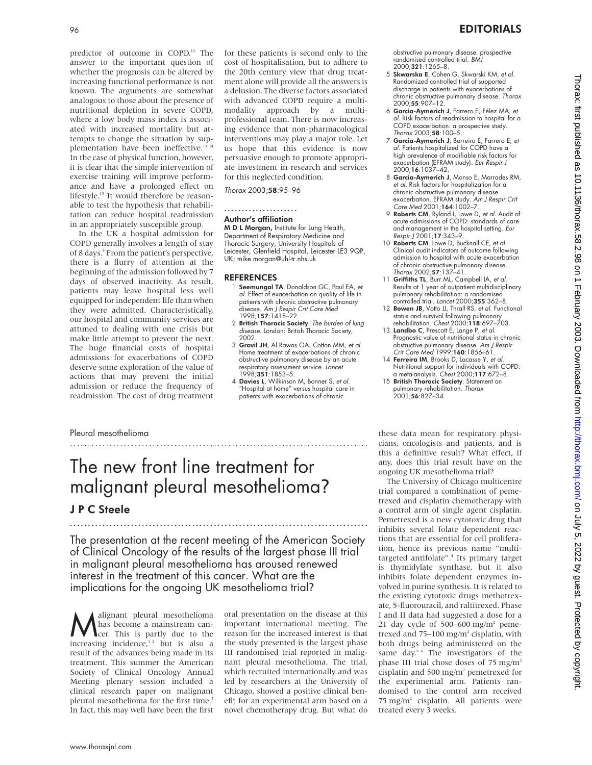predictor of outcome in COPD.<sup>12</sup> The answer to the important question of whether the prognosis can be altered by increasing functional performance is not known. The arguments are somewhat analogous to those about the presence of nutritional depletion in severe COPD, where a low body mass index is associated with increased mortality but attempts to change the situation by supplementation have been ineffective.<sup>13 14</sup> In the case of physical function, however, it is clear that the simple intervention of exercise training will improve performance and have a prolonged effect on lifestyle.<sup>15</sup> It would therefore be reasonable to test the hypothesis that rehabilitation can reduce hospital readmission in an appropriately susceptible group.

In the UK a hospital admission for COPD generally involves a length of stay of 8 days.<sup>9</sup> From the patient's perspective, there is a flurry of attention at the beginning of the admission followed by 7 days of observed inactivity. As result, patients may leave hospital less well equipped for independent life than when they were admitted. Characteristically, our hospital and community services are attuned to dealing with one crisis but make little attempt to prevent the next. The huge financial costs of hospital admissions for exacerbations of COPD deserve some exploration of the value of actions that may prevent the initial admission or reduce the frequency of readmission. The cost of drug treatment

for these patients is second only to the cost of hospitalisation, but to adhere to the 20th century view that drug treatment alone will provide all the answers is a delusion. The diverse factors associated with advanced COPD require a multimodality approach by a multiprofessional team. There is now increasing evidence that non-pharmacological interventions may play a major role. Let us hope that this evidence is now persuasive enough to promote appropriate investment in research and services for this neglected condition.

Thorax 2003;58:95–96

#### .....................

#### Author's affiliation

M D L Morgan, Institute for Lung Health, Department of Respiratory Medicine and Thoracic Surgery, University Hospitals of Leicester, Glenfield Hospital, Leicester LE3 9QP, UK; mike.morgan@uhl-tr.nhs.uk

#### REFERENCES

- 1 Seemungal TA, Donaldson GC, Paul EA, et al. Effect of exacerbation on quality of life in patients with chronic obstructive pulmonary disease. Am J Respir Crit Care Med 1998;157:1418–22.
- 2 British Thoracic Society. The burden of lung disease. London: British Thoracic Society, 2002.
- 3 Gravil JH, Al Rawas OA, Cotton MM, et al. Home treatment of exacerbations of chronic obstructive pulmonary disease by an acute respiratory assessment service. Lancet 1998;351:1853-5.
- 4 Davies L, Wilkinson M, Bonner S, et al. "Hospital at home" versus hospital care in patients with exacerbations of chronic

obstructive pulmonary disease: prospective randomised controlled trial. BMJ 2000;321:1265–8.

- 5 Skwarska E, Cohen G, Skwarski KM, et al. Randomized controlled trial of supported discharge in patients with exacerbations of chronic obstructive pulmonary disease. Thorax 2000;55:907–12.
- 6 Garcia-Aymerich J, Farrero E, Félez MA, et al. Risk factors of readmission to hospital for a COPD exacerbation: a prospective study. Thorax 2003;58:100–5.
- 7 Garcia-Aymerich J, Barreiro E, Farrero E, et al. Patients hospitalized for COPD have a high prevalence of modifiable risk factors for exacerbation (EFRAM study). Eur Respir J 2000;16:1037–42.
- 8 Garcia-Aymerich J, Monso E, Marrades RM, et al. Risk factors for hospitalization for a chronic obstructive pulmonary disease exacerbation. EFRAM study. *Am J Respir Crit*<br>*Care Med* 2001;**164**:1002–7.
- 9 Roberts CM, Ryland I, Lowe D, et al. Audit of acute admissions of COPD: standards of care and management in the hospital setting. Eur Respir J 2001;17:343–9.
- 10 Roberts CM, Lowe D, Bucknall CE, et al. Clinical audit indicators of outcome following admission to hospital with acute exacerbation of chronic obstructive pulmonary disease. Thorax 2002;57:137–41.
- 11 Griffiths TL, Burr ML, Campbell IA, et al. Results at 1 year of outpatient multidisciplinary pulmonary rehabilitation: a randomised controlled trial. Lancet 2000;355:362-8.
- 12 Bowen JB, Votto JJ, Thrall RS, et al. Functional status and survival following pulmonary rehabilitation. Chest 2000;118:697–703.
- 13 Landbo C, Prescott E, Lange P, et al. Prognostic value of nutritional status in chronic obstructive pulmonary disease. *Am J Respir*<br>Crit Care Med 1999;**160**:1856–61.
- 14 Ferreira IM, Brooks D, Lacasse Y, et al. Nutritional support for individuals with COPD: a meta-analysis. Chest 2000;117:672–8.
- 15 British Thoracic Society. Statement on pulmonary rehabilitation. *Thorax*<br>2001;**56**:827–34.

#### Pleural mesothelioma

# The new front line treatment for malignant pleural mesothelioma?

## J P C Steele

The presentation at the recent meeting of the American Society of Clinical Oncology of the results of the largest phase III trial in malignant pleural mesothelioma has aroused renewed interest in the treatment of this cancer. What are the implications for the ongoing UK mesothelioma trial?

...................................................................................

...................................................................................

Malignant pleural mesothelioma<br>
cer. This is partly due to the<br>
increasing incidence<sup>12</sup> but is also a has become a mainstream canincreasing incidence,<sup>12</sup> but is also a result of the advances being made in its treatment. This summer the American Society of Clinical Oncology Annual Meeting plenary session included a clinical research paper on malignant pleural mesothelioma for the first time.<sup>3</sup> In fact, this may well have been the first

oral presentation on the disease at this important international meeting. The reason for the increased interest is that the study presented is the largest phase III randomised trial reported in malignant pleural mesothelioma. The trial, which recruited internationally and was led by researchers at the University of Chicago, showed a positive clinical benefit for an experimental arm based on a novel chemotherapy drug. But what do these data mean for respiratory physicians, oncologists and patients, and is this a definitive result? What effect, if any, does this trial result have on the ongoing UK mesothelioma trial?

The University of Chicago multicentre trial compared a combination of pemetrexed and cisplatin chemotherapy with a control arm of single agent cisplatin. Pemetrexed is a new cytotoxic drug that inhibits several folate dependent reactions that are essential for cell proliferation, hence its previous name "multitargeted antifolate".<sup>4</sup> Its primary target is thymidylate synthase, but it also inhibits folate dependent enzymes involved in purine synthesis. It is related to the existing cytotoxic drugs methotrexate, 5-fluorouracil, and raltitrexed. Phase I and II data had suggested a dose for a 21 day cycle of  $500-600$  mg/m<sup>2</sup> pemetrexed and  $75-100$  mg/m<sup>2</sup> cisplatin, with both drugs being administered on the same day.<sup>5 6</sup> The investigators of the phase III trial chose doses of 75 mg/m<sup>2</sup> cisplatin and 500 mg/m2 pemetrexed for the experimental arm. Patients randomised to the control arm received  $75 \text{ mg/m}^2$  cisplatin. All patients were treated every 3 weeks.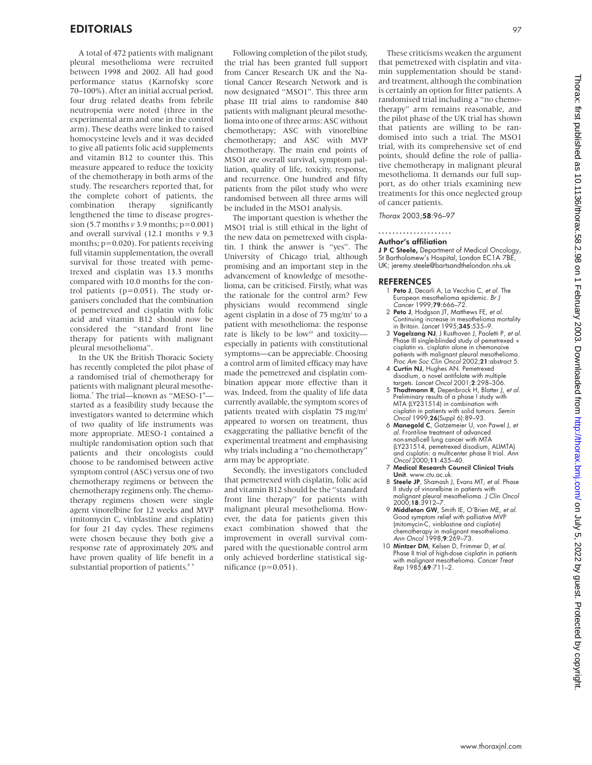A total of 472 patients with malignant pleural mesothelioma were recruited between 1998 and 2002. All had good performance status (Karnofsky score 70–100%). After an initial accrual period, four drug related deaths from febrile neutropenia were noted (three in the experimental arm and one in the control arm). These deaths were linked to raised homocysteine levels and it was decided to give all patients folic acid supplements and vitamin B12 to counter this. This measure appeared to reduce the toxicity of the chemotherapy in both arms of the study. The researchers reported that, for the complete cohort of patients, the combination therapy significantly lengthened the time to disease progression (5.7 months *v* 3.9 months; p=0.001) and overall survival (12.1 months *v* 9.3 months; p=0.020). For patients receiving full vitamin supplementation, the overall survival for those treated with pemetrexed and cisplatin was 13.3 months compared with 10.0 months for the control patients  $(p=0.051)$ . The study organisers concluded that the combination of pemetrexed and cisplatin with folic acid and vitamin B12 should now be considered the "standard front line therapy for patients with malignant pleural mesothelioma".

In the UK the British Thoracic Society has recently completed the pilot phase of a randomised trial of chemotherapy for patients with malignant pleural mesothelioma.<sup>7</sup> The trial—known as "MESO-1" started as a feasibility study because the investigators wanted to determine which of two quality of life instruments was more appropriate. MESO-1 contained a multiple randomisation option such that patients and their oncologists could choose to be randomised between active symptom control (ASC) versus one of two chemotherapy regimens or between the chemotherapy regimens only. The chemotherapy regimens chosen were single agent vinorelbine for 12 weeks and MVP (mitomycin C, vinblastine and cisplatin) for four 21 day cycles. These regimens were chosen because they both give a response rate of approximately 20% and have proven quality of life benefit in a substantial proportion of patients.<sup>85</sup>

Following completion of the pilot study, the trial has been granted full support from Cancer Research UK and the National Cancer Research Network and is now designated "MSO1". This three arm phase III trial aims to randomise 840 patients with malignant pleural mesothelioma into one of three arms: ASC without chemotherapy; ASC with vinorelbine chemotherapy; and ASC with MVP chemotherapy. The main end points of MSO1 are overall survival, symptom palliation, quality of life, toxicity, response, and recurrence. One hundred and fifty patients from the pilot study who were randomised between all three arms will be included in the MSO1 analysis.

The important question is whether the MSO1 trial is still ethical in the light of the new data on pemetrexed with cisplatin. I think the answer is "yes". The University of Chicago trial, although promising and an important step in the advancement of knowledge of mesothelioma, can be criticised. Firstly, what was the rationale for the control arm? Few physicians would recommend single agent cisplatin in a dose of 75 mg/m<sup>2</sup> to a patient with mesothelioma: the response rate is likely to be  $low<sup>10</sup>$  and toxicityespecially in patients with constitutional symptoms—can be appreciable. Choosing a control arm of limited efficacy may have made the pemetrexed and cisplatin combination appear more effective than it was. Indeed, from the quality of life data currently available, the symptom scores of patients treated with cisplatin 75 mg/m<sup>2</sup> appeared to worsen on treatment, thus exaggerating the palliative benefit of the experimental treatment and emphasising why trials including a "no chemotherapy" arm may be appropriate.

Secondly, the investigators concluded that pemetrexed with cisplatin, folic acid and vitamin B12 should be the "standard front line therapy" for patients with malignant pleural mesothelioma. However, the data for patients given this exact combination showed that the improvement in overall survival compared with the questionable control arm only achieved borderline statistical significance  $(p=0.051)$ .

These criticisms weaken the argument that pemetrexed with cisplatin and vitamin supplementation should be standard treatment, although the combination is certainly an option for fitter patients. A randomised trial including a "no chemotherapy" arm remains reasonable, and the pilot phase of the UK trial has shown that patients are willing to be randomised into such a trial. The MSO1 trial, with its comprehensive set of end points, should define the role of palliative chemotherapy in malignant pleural mesothelioma. It demands our full support, as do other trials examining new treatments for this once neglected group of cancer patients.

Thorax 2003;58:96–97

## .....................

Author's affiliation

J P C Steele, Department of Medical Oncology, St Bartholomew's Hospital, London EC1A 7BE, UK; jeremy.steele@bartsandthelondon.nhs.uk

## **REFERENCES**

- 1 Peto J, Decarli A, La Vecchia C, et al. The European mesothelioma epidemic. *Br J*<br>Cancer 1999;**79**:666–72.
- 2 Peto J, Hodgson JT, Matthews FE, et al. Continuing increase in mesothelioma mortality in Britain. Lancet 1995;345:535-9
- 3 Vogelzang NJ, J Rusthoven J, Paoletti P, et al. Phase III single-blinded study of pemetrexed + cisplatin vs. cisplatin alone in chemonaive patients with malignant pleural mesothelioma. Proc Am Soc Clin Oncol 2002;21:abstract 5.
- 4 Curtin NJ, Hughes AN. Pemetrexed disodium, a novel antifolate with multiple targets. Lancet Oncol 2001;2:298–306.
- 5 Thodtmann R, Depenbrock H, Blatter J, et al. Preliminary results of a phase I study with MTA (LY231514) in combination with cisplatin in patients with solid tumors. Semin Oncol 1999;26(Suppl 6):89–93.
- 6 Manegold C, Gatzemeier U, von Pawel J, et al. Front-line treatment of advanced non-small-cell lung cancer with MTA (LY231514, pemetrexed disodium, ALIMTA) and cisplatin: a multicenter phase II trial. Ann Oncol 2000;11:435–40.
- 7 Medical Research Council Clinical Trials Unit. www.ctu.ac.uk.
- 8 Steele JP, Shamash J, Evans MT, et al. Phase II study of vinorelbine in patients with malignant pleural mesothelioma. *J Clin Oncol*<br>2000;**18**:3912–7.
- 9 Middleton GW, Smith IE, O'Brien ME, et al. Good symptom relief with palliative MVP (mitomycin-C, vinblastine and cisplatin) chemotherapy in malignant mesothelioma. Ann Oncol 1998;9:269–73.
- 10 Mintzer DM, Kelsen D, Frimmer D, et al. Phase II trial of high-dose cisplatin in patients with malignant mesothelioma. C*ancer Treat*<br>Rep 1985;**69**:711–2.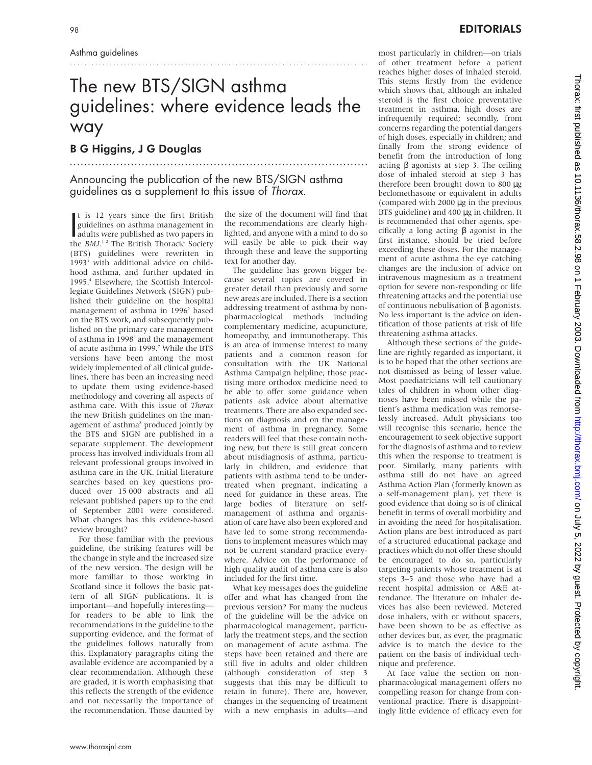Asthma guidelines

# The new BTS/SIGN asthma guidelines: where evidence leads the way

...................................................................................

## B G Higgins, J G Douglas

Announcing the publication of the new BTS/SIGN asthma guidelines as a supplement to this issue of Thorax.

...................................................................................

t is 12 years since the first British<br>guidelines on asthma management in<br>adults were published as two papers in<br>the  $RM1^{12}$  The British Thoracic Society t is 12 years since the first British guidelines on asthma management in the *BMJ*.<sup>12</sup> The British Thoracic Society (BTS) guidelines were rewritten in 1993<sup>3</sup> with additional advice on childhood asthma, and further updated in 1995.4 Elsewhere, the Scottish Intercollegiate Guidelines Network (SIGN) published their guideline on the hospital management of asthma in 1996<sup>5</sup> based on the BTS work, and subsequently published on the primary care management of asthma in 1998<sup>6</sup> and the management of acute asthma in 1999.<sup>7</sup> While the BTS versions have been among the most widely implemented of all clinical guidelines, there has been an increasing need to update them using evidence-based methodology and covering all aspects of asthma care. With this issue of *Thorax* the new British guidelines on the management of asthma<sup>8</sup> produced jointly by the BTS and SIGN are published in a separate supplement. The development process has involved individuals from all relevant professional groups involved in asthma care in the UK. Initial literature searches based on key questions produced over 15 000 abstracts and all relevant published papers up to the end of September 2001 were considered. What changes has this evidence-based review brought?

For those familiar with the previous guideline, the striking features will be the change in style and the increased size of the new version. The design will be more familiar to those working in Scotland since it follows the basic pattern of all SIGN publications. It is important—and hopefully interesting for readers to be able to link the recommendations in the guideline to the supporting evidence, and the format of the guidelines follows naturally from this. Explanatory paragraphs citing the available evidence are accompanied by a clear recommendation. Although these are graded, it is worth emphasising that this reflects the strength of the evidence and not necessarily the importance of the recommendation. Those daunted by

the size of the document will find that the recommendations are clearly highlighted, and anyone with a mind to do so will easily be able to pick their way through these and leave the supporting text for another day.

The guideline has grown bigger because several topics are covered in greater detail than previously and some new areas are included. There is a section addressing treatment of asthma by nonpharmacological methods including complementary medicine, acupuncture, homeopathy, and immunotherapy. This is an area of immense interest to many patients and a common reason for consultation with the UK National Asthma Campaign helpline; those practising more orthodox medicine need to be able to offer some guidance when patients ask advice about alternative treatments. There are also expanded sections on diagnosis and on the management of asthma in pregnancy. Some readers will feel that these contain nothing new, but there is still great concern about misdiagnosis of asthma, particularly in children, and evidence that patients with asthma tend to be undertreated when pregnant, indicating a need for guidance in these areas. The large bodies of literature on selfmanagement of asthma and organisation of care have also been explored and have led to some strong recommendations to implement measures which may not be current standard practice everywhere. Advice on the performance of high quality audit of asthma care is also included for the first time.

What key messages does the guideline offer and what has changed from the previous version? For many the nucleus of the guideline will be the advice on pharmacological management, particularly the treatment steps, and the section on management of acute asthma. The steps have been retained and there are still five in adults and older children (although consideration of step 3 suggests that this may be difficult to retain in future). There are, however, changes in the sequencing of treatment with a new emphasis in adults—and

most particularly in children—on trials of other treatment before a patient reaches higher doses of inhaled steroid. This stems firstly from the evidence which shows that, although an inhaled steroid is the first choice preventative treatment in asthma, high doses are infrequently required; secondly, from concerns regarding the potential dangers of high doses, especially in children; and finally from the strong evidence of benefit from the introduction of long acting  $β$  agonists at step 3. The ceiling dose of inhaled steroid at step 3 has therefore been brought down to 800 µg beclomethasone or equivalent in adults (compared with 2000 µg in the previous BTS guideline) and 400 µg in children. It is recommended that other agents, specifically a long acting β agonist in the first instance, should be tried before exceeding these doses. For the management of acute asthma the eye catching changes are the inclusion of advice on intravenous magnesium as a treatment option for severe non-responding or life threatening attacks and the potential use of continuous nebulisation of β agonists. No less important is the advice on identification of those patients at risk of life threatening asthma attacks.

Although these sections of the guideline are rightly regarded as important, it is to be hoped that the other sections are not dismissed as being of lesser value. Most paediatricians will tell cautionary tales of children in whom other diagnoses have been missed while the patient's asthma medication was remorselessly increased. Adult physicians too will recognise this scenario, hence the encouragement to seek objective support for the diagnosis of asthma and to review this when the response to treatment is poor. Similarly, many patients with asthma still do not have an agreed Asthma Action Plan (formerly known as a self-management plan), yet there is good evidence that doing so is of clinical benefit in terms of overall morbidity and in avoiding the need for hospitalisation. Action plans are best introduced as part of a structured educational package and practices which do not offer these should be encouraged to do so, particularly targeting patients whose treatment is at steps 3–5 and those who have had a recent hospital admission or A&E attendance. The literature on inhaler devices has also been reviewed. Metered dose inhalers, with or without spacers, have been shown to be as effective as other devices but, as ever, the pragmatic advice is to match the device to the patient on the basis of individual technique and preference.

At face value the section on nonpharmacological management offers no compelling reason for change from conventional practice. There is disappointingly little evidence of efficacy even for